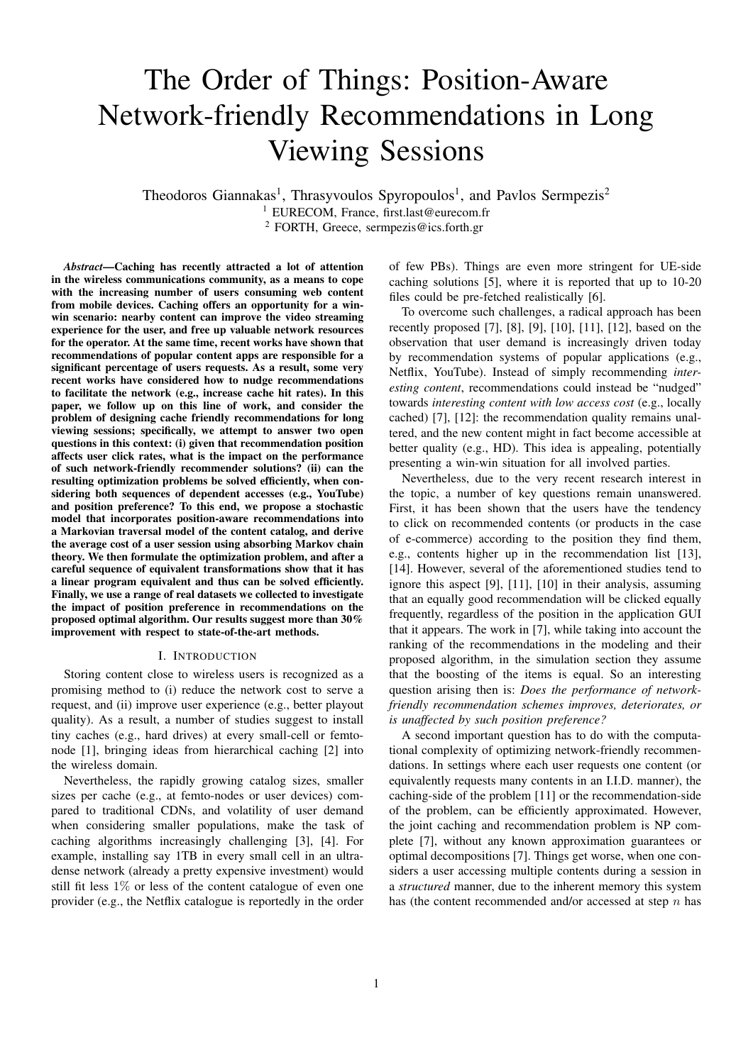# The Order of Things: Position-Aware Network-friendly Recommendations in Long Viewing Sessions

Theodoros Giannakas<sup>1</sup>, Thrasyvoulos Spyropoulos<sup>1</sup>, and Pavlos Sermpezis<sup>2</sup> <sup>1</sup> EURECOM, France, first.last@eurecom.fr <sup>2</sup> FORTH, Greece, sermpezis@ics.forth.gr

*Abstract*—Caching has recently attracted a lot of attention in the wireless communications community, as a means to cope with the increasing number of users consuming web content from mobile devices. Caching offers an opportunity for a winwin scenario: nearby content can improve the video streaming experience for the user, and free up valuable network resources for the operator. At the same time, recent works have shown that recommendations of popular content apps are responsible for a significant percentage of users requests. As a result, some very recent works have considered how to nudge recommendations to facilitate the network (e.g., increase cache hit rates). In this paper, we follow up on this line of work, and consider the problem of designing cache friendly recommendations for long viewing sessions; specifically, we attempt to answer two open questions in this context: (i) given that recommendation position affects user click rates, what is the impact on the performance of such network-friendly recommender solutions? (ii) can the resulting optimization problems be solved efficiently, when considering both sequences of dependent accesses (e.g., YouTube) and position preference? To this end, we propose a stochastic model that incorporates position-aware recommendations into a Markovian traversal model of the content catalog, and derive the average cost of a user session using absorbing Markov chain theory. We then formulate the optimization problem, and after a careful sequence of equivalent transformations show that it has a linear program equivalent and thus can be solved efficiently. Finally, we use a range of real datasets we collected to investigate the impact of position preference in recommendations on the proposed optimal algorithm. Our results suggest more than 30% improvement with respect to state-of-the-art methods.

# I. INTRODUCTION

Storing content close to wireless users is recognized as a promising method to (i) reduce the network cost to serve a request, and (ii) improve user experience (e.g., better playout quality). As a result, a number of studies suggest to install tiny caches (e.g., hard drives) at every small-cell or femtonode [1], bringing ideas from hierarchical caching [2] into the wireless domain.

Nevertheless, the rapidly growing catalog sizes, smaller sizes per cache (e.g., at femto-nodes or user devices) compared to traditional CDNs, and volatility of user demand when considering smaller populations, make the task of caching algorithms increasingly challenging [3], [4]. For example, installing say 1TB in every small cell in an ultradense network (already a pretty expensive investment) would still fit less 1% or less of the content catalogue of even one provider (e.g., the Netflix catalogue is reportedly in the order of few PBs). Things are even more stringent for UE-side caching solutions [5], where it is reported that up to 10-20 files could be pre-fetched realistically [6].

To overcome such challenges, a radical approach has been recently proposed [7], [8], [9], [10], [11], [12], based on the observation that user demand is increasingly driven today by recommendation systems of popular applications (e.g., Netflix, YouTube). Instead of simply recommending *interesting content*, recommendations could instead be "nudged" towards *interesting content with low access cost* (e.g., locally cached) [7], [12]: the recommendation quality remains unaltered, and the new content might in fact become accessible at better quality (e.g., HD). This idea is appealing, potentially presenting a win-win situation for all involved parties.

Nevertheless, due to the very recent research interest in the topic, a number of key questions remain unanswered. First, it has been shown that the users have the tendency to click on recommended contents (or products in the case of e-commerce) according to the position they find them, e.g., contents higher up in the recommendation list [13], [14]. However, several of the aforementioned studies tend to ignore this aspect [9], [11], [10] in their analysis, assuming that an equally good recommendation will be clicked equally frequently, regardless of the position in the application GUI that it appears. The work in [7], while taking into account the ranking of the recommendations in the modeling and their proposed algorithm, in the simulation section they assume that the boosting of the items is equal. So an interesting question arising then is: *Does the performance of networkfriendly recommendation schemes improves, deteriorates, or is unaffected by such position preference?*

A second important question has to do with the computational complexity of optimizing network-friendly recommendations. In settings where each user requests one content (or equivalently requests many contents in an I.I.D. manner), the caching-side of the problem [11] or the recommendation-side of the problem, can be efficiently approximated. However, the joint caching and recommendation problem is NP complete [7], without any known approximation guarantees or optimal decompositions [7]. Things get worse, when one considers a user accessing multiple contents during a session in a *structured* manner, due to the inherent memory this system has (the content recommended and/or accessed at step  $n$  has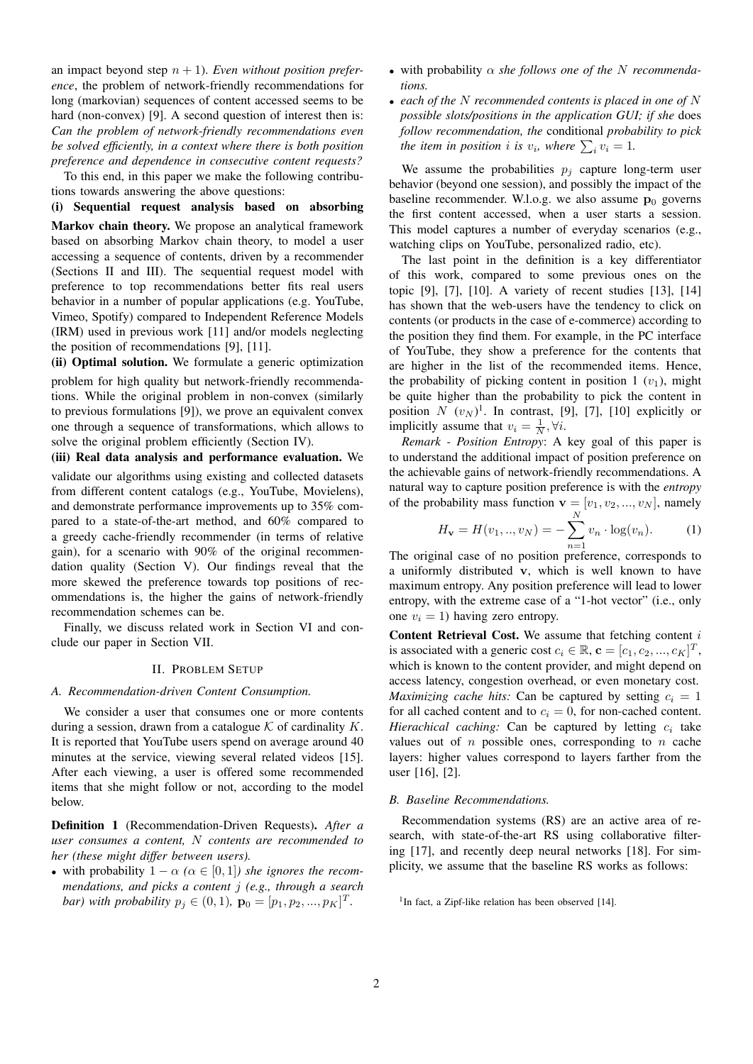an impact beyond step  $n + 1$ ). *Even without position preference*, the problem of network-friendly recommendations for long (markovian) sequences of content accessed seems to be hard (non-convex) [9]. A second question of interest then is: *Can the problem of network-friendly recommendations even be solved efficiently, in a context where there is both position preference and dependence in consecutive content requests?*

To this end, in this paper we make the following contributions towards answering the above questions:

(i) Sequential request analysis based on absorbing Markov chain theory. We propose an analytical framework based on absorbing Markov chain theory, to model a user accessing a sequence of contents, driven by a recommender (Sections II and III). The sequential request model with preference to top recommendations better fits real users behavior in a number of popular applications (e.g. YouTube, Vimeo, Spotify) compared to Independent Reference Models (IRM) used in previous work [11] and/or models neglecting the position of recommendations [9], [11].

(ii) Optimal solution. We formulate a generic optimization problem for high quality but network-friendly recommendations. While the original problem in non-convex (similarly to previous formulations [9]), we prove an equivalent convex one through a sequence of transformations, which allows to solve the original problem efficiently (Section IV).

(iii) Real data analysis and performance evaluation. We

validate our algorithms using existing and collected datasets from different content catalogs (e.g., YouTube, Movielens), and demonstrate performance improvements up to 35% compared to a state-of-the-art method, and 60% compared to a greedy cache-friendly recommender (in terms of relative gain), for a scenario with 90% of the original recommendation quality (Section V). Our findings reveal that the more skewed the preference towards top positions of recommendations is, the higher the gains of network-friendly recommendation schemes can be.

Finally, we discuss related work in Section VI and conclude our paper in Section VII.

#### II. PROBLEM SETUP

#### *A. Recommendation-driven Content Consumption.*

We consider a user that consumes one or more contents during a session, drawn from a catalogue  $K$  of cardinality  $K$ . It is reported that YouTube users spend on average around 40 minutes at the service, viewing several related videos [15]. After each viewing, a user is offered some recommended items that she might follow or not, according to the model below.

Definition 1 (Recommendation-Driven Requests). *After a user consumes a content,* N *contents are recommended to her (these might differ between users).*

• with probability  $1 - \alpha$  ( $\alpha \in [0, 1]$ *) she ignores the recommendations, and picks a content* j *(e.g., through a search bar*) with probability  $p_j \in (0, 1)$ ,  $\mathbf{p}_0 = [p_1, p_2, ..., p_K]^T$ .

- with probability α *she follows one of the* N *recommendations.*
- *each of the* N *recommended contents is placed in one of* N *possible slots/positions in the application GUI; if she* does *follow recommendation, the* conditional *probability to pick the item in position i is*  $v_i$ , where  $\sum_i v_i = 1$ .

We assume the probabilities  $p_j$  capture long-term user behavior (beyond one session), and possibly the impact of the baseline recommender. W.l.o.g. we also assume  $p_0$  governs the first content accessed, when a user starts a session. This model captures a number of everyday scenarios (e.g., watching clips on YouTube, personalized radio, etc).

The last point in the definition is a key differentiator of this work, compared to some previous ones on the topic [9], [7], [10]. A variety of recent studies [13], [14] has shown that the web-users have the tendency to click on contents (or products in the case of e-commerce) according to the position they find them. For example, in the PC interface of YouTube, they show a preference for the contents that are higher in the list of the recommended items. Hence, the probability of picking content in position 1  $(v_1)$ , might be quite higher than the probability to pick the content in position  $N(v_N)^1$ . In contrast, [9], [7], [10] explicitly or implicitly assume that  $v_i = \frac{1}{N}, \forall i$ .

*Remark - Position Entropy*: A key goal of this paper is to understand the additional impact of position preference on the achievable gains of network-friendly recommendations. A natural way to capture position preference is with the *entropy* of the probability mass function  $\mathbf{v} = [v_1, v_2, ..., v_N]$ , namely

$$
H_{\mathbf{v}} = H(v_1, ..., v_N) = -\sum_{n=1}^{N} v_n \cdot \log(v_n).
$$
 (1)

The original case of no position preference, corresponds to a uniformly distributed v, which is well known to have maximum entropy. Any position preference will lead to lower entropy, with the extreme case of a "1-hot vector" (i.e., only one  $v_i = 1$ ) having zero entropy.

**Content Retrieval Cost.** We assume that fetching content  $i$ is associated with a generic cost  $c_i \in \mathbb{R}$ ,  $\mathbf{c} = [c_1, c_2, ..., c_K]^T$ , which is known to the content provider, and might depend on access latency, congestion overhead, or even monetary cost. *Maximizing cache hits:* Can be captured by setting  $c_i = 1$ for all cached content and to  $c_i = 0$ , for non-cached content. *Hierachical caching:* Can be captured by letting  $c_i$  take values out of  $n$  possible ones, corresponding to  $n$  cache layers: higher values correspond to layers farther from the user [16], [2].

#### *B. Baseline Recommendations.*

Recommendation systems (RS) are an active area of research, with state-of-the-art RS using collaborative filtering [17], and recently deep neural networks [18]. For simplicity, we assume that the baseline RS works as follows:

<sup>&</sup>lt;sup>1</sup>In fact, a Zipf-like relation has been observed [14].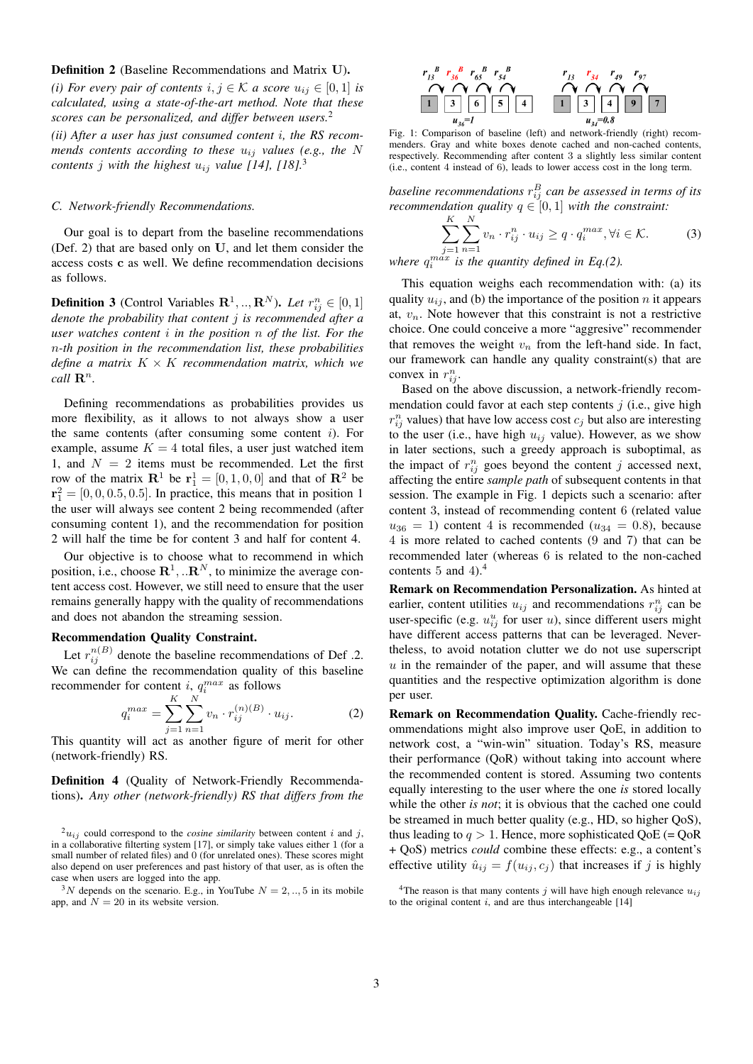# Definition 2 (Baseline Recommendations and Matrix U).

*(i) For every pair of contents*  $i, j \in \mathcal{K}$  *a score*  $u_{ij} \in [0, 1]$  *is calculated, using a state-of-the-art method. Note that these scores can be personalized, and differ between users.*<sup>2</sup> *(ii) After a user has just consumed content* i*, the RS recom-*

*mends contents according to these* uij *values (e.g., the* N *contents j with the highest*  $u_{ij}$  *value* [14], [18].<sup>3</sup>

# *C. Network-friendly Recommendations.*

Our goal is to depart from the baseline recommendations (Def. 2) that are based only on U, and let them consider the access costs c as well. We define recommendation decisions as follows.

**Definition 3** (Control Variables  $\mathbf{R}^1, ..., \mathbf{R}^N$ ). Let  $r_{ij}^n \in [0, 1]$ *denote the probability that content* j *is recommended after a user watches content* i *in the position* n *of the list. For the* n*-th position in the recommendation list, these probabilities define a matrix*  $K \times K$  *recommendation matrix, which we call*  $\mathbb{R}^n$ *.* 

Defining recommendations as probabilities provides us more flexibility, as it allows to not always show a user the same contents (after consuming some content  $i$ ). For example, assume  $K = 4$  total files, a user just watched item 1, and  $N = 2$  items must be recommended. Let the first row of the matrix  $\mathbf{R}^1$  be  $\mathbf{r}_1^1 = [0, 1, 0, 0]$  and that of  $\mathbf{R}^2$  be  ${\bf r}_1^2 = [0, 0, 0.5, 0.5]$ . In practice, this means that in position 1 the user will always see content 2 being recommended (after consuming content 1), and the recommendation for position 2 will half the time be for content 3 and half for content 4.

Our objective is to choose what to recommend in which position, i.e., choose  $\mathbb{R}^1, \dots \mathbb{R}^N$ , to minimize the average content access cost. However, we still need to ensure that the user remains generally happy with the quality of recommendations and does not abandon the streaming session.

#### Recommendation Quality Constraint.

Let  $r_{ij}^{n(B)}$  denote the baseline recommendations of Def .2. We can define the recommendation quality of this baseline recommender for content *i*,  $q_i^{max}$  as follows

$$
q_i^{max} = \sum_{j=1}^{K} \sum_{n=1}^{N} v_n \cdot r_{ij}^{(n)(B)} \cdot u_{ij}.
$$
 (2)

This quantity will act as another figure of merit for other (network-friendly) RS.

Definition 4 (Quality of Network-Friendly Recommendations). *Any other (network-friendly) RS that differs from the*

 $3N$  depends on the scenario. E.g., in YouTube  $N = 2, ..., 5$  in its mobile app, and  $N = 20$  in its website version.



Fig. 1: Comparison of baseline (left) and network-friendly (right) recommenders. Gray and white boxes denote cached and non-cached contents, respectively. Recommending after content 3 a slightly less similar content (i.e., content 4 instead of 6), leads to lower access cost in the long term.

baseline recommendations  $r_{ij}^B$  can be assessed in terms of its *recommendation quality*  $q \in [0, 1]$  *with the constraint:* 

$$
\sum_{j=1}^{K} \sum_{n=1}^{N} v_n \cdot r_{ij}^n \cdot u_{ij} \ge q \cdot q_i^{max}, \forall i \in \mathcal{K}.
$$
 (3)

where  $q_i^{max}$  is the quantity defined in Eq.(2).

This equation weighs each recommendation with: (a) its quality  $u_{ij}$ , and (b) the importance of the position n it appears at,  $v_n$ . Note however that this constraint is not a restrictive choice. One could conceive a more "aggresive" recommender that removes the weight  $v_n$  from the left-hand side. In fact, our framework can handle any quality constraint(s) that are convex in  $r_{ij}^n$ .

Based on the above discussion, a network-friendly recommendation could favor at each step contents  $j$  (i.e., give high  $r_{ij}^n$  values) that have low access cost  $c_j$  but also are interesting to the user (i.e., have high  $u_{ij}$  value). However, as we show in later sections, such a greedy approach is suboptimal, as the impact of  $r_{ij}^n$  goes beyond the content j accessed next, affecting the entire *sample path* of subsequent contents in that session. The example in Fig. 1 depicts such a scenario: after content 3, instead of recommending content 6 (related value  $u_{36} = 1$ ) content 4 is recommended ( $u_{34} = 0.8$ ), because 4 is more related to cached contents (9 and 7) that can be recommended later (whereas 6 is related to the non-cached contents 5 and 4).<sup>4</sup>

Remark on Recommendation Personalization. As hinted at earlier, content utilities  $u_{ij}$  and recommendations  $r_{ij}^n$  can be user-specific (e.g.  $u_{ij}^u$  for user u), since different users might have different access patterns that can be leveraged. Nevertheless, to avoid notation clutter we do not use superscript  $u$  in the remainder of the paper, and will assume that these quantities and the respective optimization algorithm is done per user.

Remark on Recommendation Quality. Cache-friendly recommendations might also improve user QoE, in addition to network cost, a "win-win" situation. Today's RS, measure their performance (QoR) without taking into account where the recommended content is stored. Assuming two contents equally interesting to the user where the one *is* stored locally while the other *is not*; it is obvious that the cached one could be streamed in much better quality (e.g., HD, so higher QoS), thus leading to  $q > 1$ . Hence, more sophisticated QoE (= QoR + QoS) metrics *could* combine these effects: e.g., a content's effective utility  $\hat{u}_{ij} = f(u_{ij}, c_j)$  that increases if j is highly

 $2u_{ij}$  could correspond to the *cosine similarity* between content i and j, in a collaborative filterting system [17], or simply take values either 1 (for a small number of related files) and 0 (for unrelated ones). These scores might also depend on user preferences and past history of that user, as is often the case when users are logged into the app.

<sup>&</sup>lt;sup>4</sup>The reason is that many contents j will have high enough relevance  $u_{ij}$ to the original content  $i$ , and are thus interchangeable [14]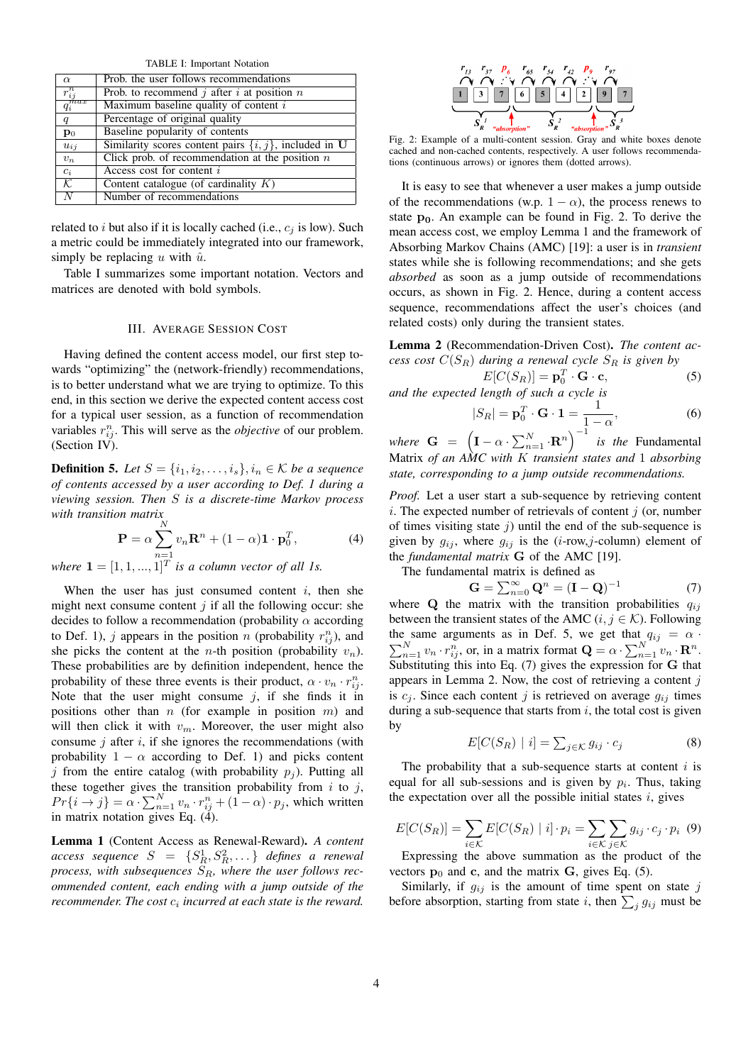TABLE I: Important Notation

| $\alpha$                 | Prob. the user follows recommendations                     |
|--------------------------|------------------------------------------------------------|
| $r_{ij}^n$               | Prob. to recommend j after i at position $n$               |
| $\overline{q_i^{max}}$   | Maximum baseline quality of content $i$                    |
| q                        | Percentage of original quality                             |
| $\mathbf{p}_0$           | Baseline popularity of contents                            |
| $u_{ij}$                 | Similarity scores content pairs $\{i, j\}$ , included in U |
| $v_n$                    | Click prob. of recommendation at the position $n$          |
| $c_i$                    | Access cost for content i                                  |
| $\overline{\mathcal{K}}$ | Content catalogue (of cardinality $K$ )                    |
|                          | Number of recommendations                                  |

related to i but also if it is locally cached (i.e.,  $c_i$  is low). Such a metric could be immediately integrated into our framework, simply be replacing u with  $\hat{u}$ .

Table I summarizes some important notation. Vectors and matrices are denoted with bold symbols.

#### III. AVERAGE SESSION COST

Having defined the content access model, our first step towards "optimizing" the (network-friendly) recommendations, is to better understand what we are trying to optimize. To this end, in this section we derive the expected content access cost for a typical user session, as a function of recommendation variables  $r_{ij}^n$ . This will serve as the *objective* of our problem. (Section IV).

**Definition 5.** Let  $S = \{i_1, i_2, \ldots, i_s\}, i_n \in \mathcal{K}$  be a sequence *of contents accessed by a user according to Def. 1 during a viewing session. Then* S *is a discrete-time Markov process with transition matrix*

$$
\mathbf{P} = \alpha \sum_{n=1}^{N} v_n \mathbf{R}^n + (1 - \alpha) \mathbf{1} \cdot \mathbf{p}_0^T,
$$
 (4)

where  $\mathbf{1} = \begin{bmatrix} 1, 1, ..., 1 \end{bmatrix}^T$  *is a column vector of all 1s.* 

When the user has just consumed content  $i$ , then she might next consume content  $j$  if all the following occur: she decides to follow a recommendation (probability  $\alpha$  according to Def. 1), j appears in the position n (probability  $r_{ij}^n$ ), and she picks the content at the *n*-th position (probability  $v_n$ ). These probabilities are by definition independent, hence the probability of these three events is their product,  $\alpha \cdot v_n \cdot r_{ij}^n$ . Note that the user might consume  $j$ , if she finds it in positions other than  $n$  (for example in position  $m$ ) and will then click it with  $v_m$ . Moreover, the user might also consume  $j$  after  $i$ , if she ignores the recommendations (with probability  $1 - \alpha$  according to Def. 1) and picks content j from the entire catalog (with probability  $p_i$ ). Putting all these together gives the transition probability from  $i$  to  $j$ ,  $Pr\{i \rightarrow j\} = \alpha \cdot \sum_{n=1}^{N} v_n \cdot r_{ij}^n + (1 - \alpha) \cdot p_j$ , which written in matrix notation gives Eq. (4).

Lemma 1 (Content Access as Renewal-Reward). *A content*  $access$  sequence  $S = \{S^1_R, S^2_R, \ldots\}$  defines a renewal process, with subsequences  $S_R$ , where the user follows rec*ommended content, each ending with a jump outside of the* recommender. The cost  $c_i$  incurred at each state is the reward.



Fig. 2: Example of a multi-content session. Gray and white boxes denote cached and non-cached contents, respectively. A user follows recommendations (continuous arrows) or ignores them (dotted arrows).

It is easy to see that whenever a user makes a jump outside of the recommendations (w.p.  $1 - \alpha$ ), the process renews to state  $p_0$ . An example can be found in Fig. 2. To derive the mean access cost, we employ Lemma 1 and the framework of Absorbing Markov Chains (AMC) [19]: a user is in *transient* states while she is following recommendations; and she gets *absorbed* as soon as a jump outside of recommendations occurs, as shown in Fig. 2. Hence, during a content access sequence, recommendations affect the user's choices (and related costs) only during the transient states.

Lemma 2 (Recommendation-Driven Cost). *The content access cost*  $C(S_R)$  *during a renewal cycle*  $S_R$  *is given by* 

$$
E[C(S_R)] = \mathbf{p}_0^T \cdot \mathbf{G} \cdot \mathbf{c},
$$
  
and the expected length of such a cycle is

$$
|S_R| = \mathbf{p}_0^T \cdot \mathbf{G} \cdot \mathbf{1} = \frac{1}{1 - \alpha},
$$
 (6)

*where*  $G = (\mathbf{I} - \alpha \cdot \sum_{n=1}^{N} \cdot \mathbf{R}^n)^{-1}$  *is the* Fundamental Matrix *of an AMC with* K *transient states and* 1 *absorbing state, corresponding to a jump outside recommendations.*

*Proof.* Let a user start a sub-sequence by retrieving content i. The expected number of retrievals of content  $j$  (or, number of times visiting state  $j$ ) until the end of the sub-sequence is given by  $g_{ij}$ , where  $g_{ij}$  is the (*i*-row,*j*-column) element of the *fundamental matrix* G of the AMC [19].

The fundamental matrix is defined as

$$
\mathbf{G} = \sum_{n=0}^{\infty} \mathbf{Q}^n = (\mathbf{I} - \mathbf{Q})^{-1}
$$
 (7)

where  $Q$  the matrix with the transition probabilities  $q_{ij}$ between the transient states of the AMC  $(i, j \in \mathcal{K})$ . Following the same arguments as in Def. 5, we get that  $q_{ij} = \alpha$ .  $\sum_{n=1}^{N} v_n \cdot r_{ij}^n$ , or, in a matrix format  $\mathbf{Q} = \alpha \cdot \sum_{n=1}^{N} v_n \cdot \mathbf{R}^n$ . Substituting this into Eq. (7) gives the expression for G that appears in Lemma 2. Now, the cost of retrieving a content  $j$ is  $c_i$ . Since each content j is retrieved on average  $g_{ij}$  times during a sub-sequence that starts from  $i$ , the total cost is given by

$$
E[C(S_R) | i] = \sum_{j \in \mathcal{K}} g_{ij} \cdot c_j \tag{8}
$$

The probability that a sub-sequence starts at content  $i$  is equal for all sub-sessions and is given by  $p_i$ . Thus, taking the expectation over all the possible initial states  $i$ , gives

$$
E[C(S_R)] = \sum_{i \in \mathcal{K}} E[C(S_R) | i] \cdot p_i = \sum_{i \in \mathcal{K}} \sum_{j \in \mathcal{K}} g_{ij} \cdot c_j \cdot p_i \tag{9}
$$
  
For−receine the above summation, as the product of the

Expressing the above summation as the product of the vectors  $\mathbf{p}_0$  and c, and the matrix G, gives Eq. (5).

Similarly, if  $g_{ij}$  is the amount of time spent on state j before absorption, starting from state i, then  $\sum_j g_{ij}$  must be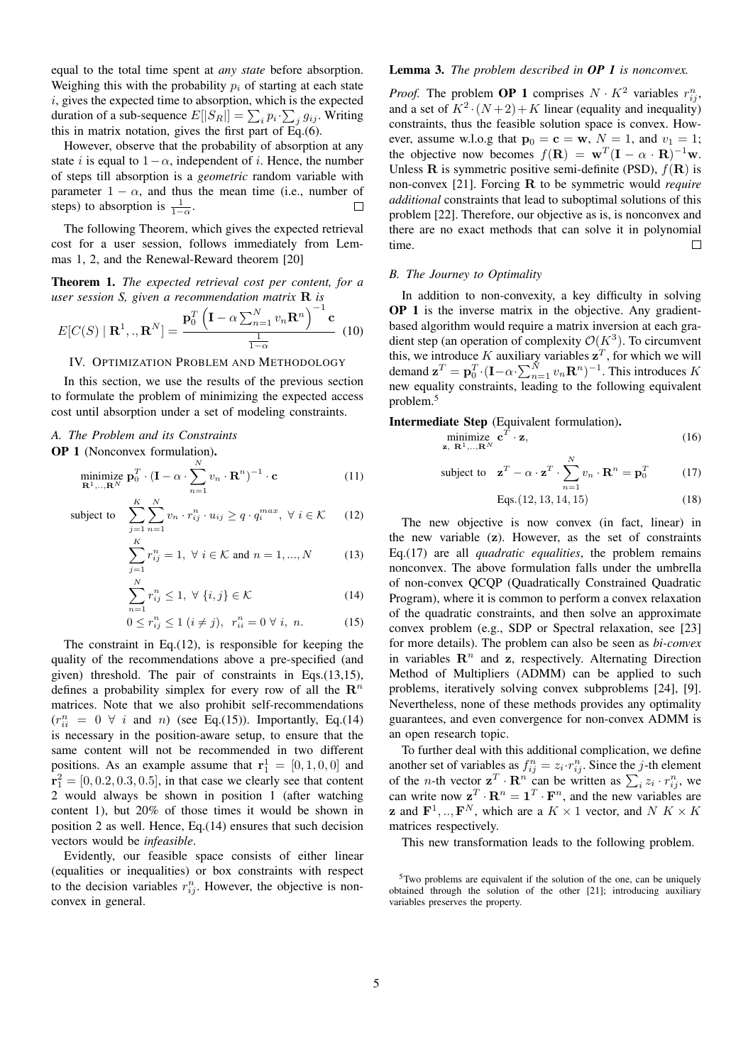equal to the total time spent at *any state* before absorption. Weighing this with the probability  $p_i$  of starting at each state i, gives the expected time to absorption, which is the expected duration of a sub-sequence  $E[|S_R|] = \sum_i p_i \cdot \sum_j g_{ij}$ . Writing this in matrix notation, gives the first part of Eq.(6).

However, observe that the probability of absorption at any state *i* is equal to  $1-\alpha$ , independent of *i*. Hence, the number of steps till absorption is a *geometric* random variable with parameter  $1 - \alpha$ , and thus the mean time (i.e., number of steps) to absorption is  $\frac{1}{1-\alpha}$ .  $\Box$ 

The following Theorem, which gives the expected retrieval cost for a user session, follows immediately from Lemmas 1, 2, and the Renewal-Reward theorem [20]

Theorem 1. *The expected retrieval cost per content, for a user session S, given a recommendation matrix* R *is*

$$
E[C(S) | \mathbf{R}^1,.,\mathbf{R}^N] = \frac{\mathbf{p}_0^T \left( \mathbf{I} - \alpha \sum_{n=1}^N v_n \mathbf{R}^n \right)^{-1} \mathbf{c}}{\frac{1}{1-\alpha}}
$$
(10)

# IV. OPTIMIZATION PROBLEM AND METHODOLOGY

In this section, we use the results of the previous section to formulate the problem of minimizing the expected access cost until absorption under a set of modeling constraints.

# *A. The Problem and its Constraints*

OP 1 (Nonconvex formulation).

$$
\underset{\mathbf{R}^1,\dots,\mathbf{R}^N}{\text{minimize}} \ \mathbf{p}_0^T \cdot (\mathbf{I} - \alpha \cdot \sum_{n=1}^N v_n \cdot \mathbf{R}^n)^{-1} \cdot \mathbf{c} \tag{11}
$$

subject to 
$$
\sum_{j=1}^{K} \sum_{n=1}^{N} v_n \cdot r_{ij}^n \cdot u_{ij} \geq q \cdot q_i^{max}, \ \forall \ i \in \mathcal{K}
$$
 (12)

$$
\sum_{j=1}^{K} r_{ij}^{n} = 1, \ \forall \ i \in \mathcal{K} \text{ and } n = 1, ..., N \tag{13}
$$

$$
\sum_{n=1}^{N} r_{ij}^{n} \le 1, \ \forall \ \{i, j\} \in \mathcal{K}
$$
\n(14)

$$
0 \le r_{ij}^n \le 1 \ (i \ne j), \ \ r_{ii}^n = 0 \ \forall \ i, \ n. \tag{15}
$$

The constraint in Eq. $(12)$ , is responsible for keeping the quality of the recommendations above a pre-specified (and given) threshold. The pair of constraints in Eqs.(13,15), defines a probability simplex for every row of all the  $\mathbb{R}^n$ matrices. Note that we also prohibit self-recommendations  $(r_{ii}^n = 0 \ \forall i \text{ and } n)$  (see Eq.(15)). Importantly, Eq.(14) is necessary in the position-aware setup, to ensure that the same content will not be recommended in two different positions. As an example assume that  $\mathbf{r}_1^1 = [0, 1, 0, 0]$  and  ${\bf r}_1^2 = [0, 0.2, 0.3, 0.5]$ , in that case we clearly see that content 2 would always be shown in position 1 (after watching content 1), but 20% of those times it would be shown in position 2 as well. Hence, Eq.(14) ensures that such decision vectors would be *infeasible*.

Evidently, our feasible space consists of either linear (equalities or inequalities) or box constraints with respect to the decision variables  $r_{ij}^n$ . However, the objective is nonconvex in general.

# Lemma 3. *The problem described in OP 1 is nonconvex.*

*Proof.* The problem **OP 1** comprises  $N \cdot K^2$  variables  $r_{ij}^n$ , and a set of  $K^2 \cdot (N+2) + K$  linear (equality and inequality) constraints, thus the feasible solution space is convex. However, assume w.l.o.g that  $\mathbf{p}_0 = \mathbf{c} = \mathbf{w}$ ,  $N = 1$ , and  $v_1 = 1$ ; the objective now becomes  $f(\mathbf{R}) = \mathbf{w}^T(\mathbf{I} - \alpha \cdot \mathbf{R})^{-1}\mathbf{w}$ . Unless **R** is symmetric positive semi-definite (PSD),  $f(\mathbf{R})$  is non-convex [21]. Forcing R to be symmetric would *require additional* constraints that lead to suboptimal solutions of this problem [22]. Therefore, our objective as is, is nonconvex and there are no exact methods that can solve it in polynomial  $\Box$ time.

#### *B. The Journey to Optimality*

In addition to non-convexity, a key difficulty in solving OP 1 is the inverse matrix in the objective. Any gradientbased algorithm would require a matrix inversion at each gradient step (an operation of complexity  $\mathcal{O}(K^3)$ ). To circumvent this, we introduce K auxiliary variables  $z^T$ , for which we will demand  $\mathbf{z}^T = \mathbf{p}_0^T \cdot (\mathbf{I} - \alpha \cdot \sum_{n=1}^N v_n \mathbf{R}^n)^{-1}$ . This introduces K new equality constraints, leading to the following equivalent problem.<sup>5</sup>

Intermediate Step (Equivalent formulation).

minimize  $\mathbf{c}^T$  $\cdot$  **z**, (16)

subject to 
$$
\mathbf{z}^T - \alpha \cdot \mathbf{z}^T \cdot \sum_{n=1}^N v_n \cdot \mathbf{R}^n = \mathbf{p}_0^T
$$
 (17)

Eqs. 
$$
(12, 13, 14, 15)
$$
 (18)

The new objective is now convex (in fact, linear) in the new variable (z). However, as the set of constraints Eq.(17) are all *quadratic equalities*, the problem remains nonconvex. The above formulation falls under the umbrella of non-convex QCQP (Quadratically Constrained Quadratic Program), where it is common to perform a convex relaxation of the quadratic constraints, and then solve an approximate convex problem (e.g., SDP or Spectral relaxation, see [23] for more details). The problem can also be seen as *bi-convex* in variables  $\mathbb{R}^n$  and z, respectively. Alternating Direction Method of Multipliers (ADMM) can be applied to such problems, iteratively solving convex subproblems [24], [9]. Nevertheless, none of these methods provides any optimality guarantees, and even convergence for non-convex ADMM is an open research topic.

To further deal with this additional complication, we define another set of variables as  $f_{ij}^n = z_i \cdot r_{ij}^n$ . Since the *j*-th element of the *n*-th vector  $\mathbf{z}^T \cdot \mathbf{R}^n$  can be written as  $\sum_i z_i \cdot r_{ij}^n$ , we can write now  $\mathbf{z}^T \cdot \mathbf{R}^n = \mathbf{1}^T \cdot \mathbf{F}^n$ , and the new variables are **z** and  $\mathbf{F}^1, \dots, \mathbf{F}^N$ , which are a  $K \times 1$  vector, and  $N K \times K$ matrices respectively.

This new transformation leads to the following problem.

<sup>5</sup>Two problems are equivalent if the solution of the one, can be uniquely obtained through the solution of the other [21]; introducing auxiliary variables preserves the property.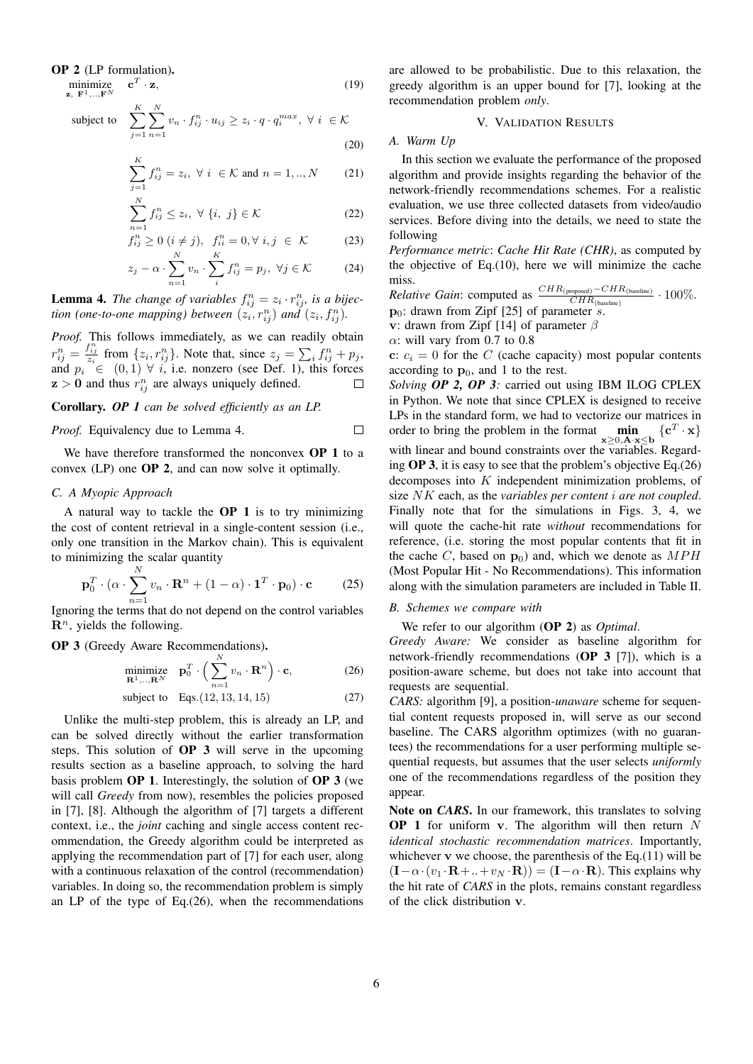#### OP 2 (LP formulation).

minimize  $\mathbf{c}^T$ 

minimize 
$$
\mathbf{c}^T \cdot \mathbf{z}
$$
, (19)  
\nz,  $\mathbf{F}^1, \dots, \mathbf{F}^N$   
\nsubject to 
$$
\sum_{j=1}^K \sum_{n=1}^N v_n \cdot f_{ij}^n \cdot u_{ij} \ge z_i \cdot q \cdot q_i^{max}, \ \forall \ i \in \mathcal{K}
$$
 (20)

$$
\sum_{j=1}^{K} f_{ij}^{n} = z_{i}, \ \forall \ i \in \mathcal{K} \text{ and } n = 1,..,N \qquad (21)
$$

$$
\sum_{i=1}^{N} f_{ij}^{n} \le z_{i}, \ \forall \ \{i, \ j\} \in \mathcal{K}
$$
\n(22)

$$
f_{ij}^{n=1} \ge 0 \ (i \ne j), \ f_{ii}^{n} = 0, \forall \ i, j \in \mathcal{K}
$$
 (23)

$$
z_j - \alpha \cdot \sum_{n=1}^{N} v_n \cdot \sum_{i}^{K} f_{ij}^n = p_j, \ \forall j \in \mathcal{K} \tag{24}
$$

**Lemma 4.** The change of variables  $f_{ij}^n = z_i \cdot r_{ij}^n$ , is a bijec*tion (one-to-one mapping) between*  $(z_i, r_{ij}^n)$  *and*  $(z_i, f_{ij}^n)$ *.* 

*Proof.* This follows immediately, as we can readily obtain  $r_{ij}^n = \frac{f_{ij}^n}{z_i}$  from  $\{z_i, r_{ij}^n\}$ . Note that, since  $z_j = \sum_i f_{ij}^n + p_j$ , and  $p_i \in (0,1) \forall i$ , i.e. nonzero (see Def. 1), this forces  $z > 0$  and thus  $r_{ij}^n$  are always uniquely defined.

Corollary. *OP 1 can be solved efficiently as an LP.*

*Proof.* Equivalency due to Lemma 4.

We have therefore transformed the nonconvex **OP 1** to a convex (LP) one OP 2, and can now solve it optimally.

# *C. A Myopic Approach*

A natural way to tackle the  $OP$  1 is to try minimizing the cost of content retrieval in a single-content session (i.e., only one transition in the Markov chain). This is equivalent to minimizing the scalar quantity

$$
\mathbf{p}_0^T \cdot (\alpha \cdot \sum_{n=1}^N v_n \cdot \mathbf{R}^n + (1 - \alpha) \cdot \mathbf{1}^T \cdot \mathbf{p}_0) \cdot \mathbf{c} \tag{25}
$$

Ignoring the terms that do not depend on the control variables  $\mathbf{R}^n$ , yields the following.

OP 3 (Greedy Aware Recommendations).

$$
\underset{\mathbf{R}^1,\ldots,\mathbf{R}^N}{\text{minimize}} \quad \mathbf{p}_0^T \cdot \left(\sum_{n=1}^N v_n \cdot \mathbf{R}^n\right) \cdot \mathbf{c},\tag{26}
$$

subject to Eqs. 
$$
(12, 13, 14, 15)
$$
 (27)

Unlike the multi-step problem, this is already an LP, and can be solved directly without the earlier transformation steps. This solution of OP 3 will serve in the upcoming results section as a baseline approach, to solving the hard basis problem OP 1. Interestingly, the solution of OP 3 (we will call *Greedy* from now), resembles the policies proposed in [7], [8]. Although the algorithm of [7] targets a different context, i.e., the *joint* caching and single access content recommendation, the Greedy algorithm could be interpreted as applying the recommendation part of [7] for each user, along with a continuous relaxation of the control (recommendation) variables. In doing so, the recommendation problem is simply an LP of the type of Eq.(26), when the recommendations are allowed to be probabilistic. Due to this relaxation, the greedy algorithm is an upper bound for [7], looking at the recommendation problem *only*.

# V. VALIDATION RESULTS

*A. Warm Up*

 $\Box$ 

In this section we evaluate the performance of the proposed algorithm and provide insights regarding the behavior of the network-friendly recommendations schemes. For a realistic evaluation, we use three collected datasets from video/audio services. Before diving into the details, we need to state the following

*Performance metric*: *Cache Hit Rate (CHR)*, as computed by the objective of Eq.(10), here we will minimize the cache miss.

*Relative Gain*: computed as  $\frac{CHR_{(proposed)} - CHR_{(baseline)}}{CHR_{(baseline)}} \cdot 100\%$ .  $\mathbf{p}_0$ : drawn from Zipf [25] of parameter s.

v: drawn from Zipf [14] of parameter  $\beta$ 

 $\alpha$ : will vary from 0.7 to 0.8

c:  $c_i = 0$  for the C (cache capacity) most popular contents according to  $\mathbf{p}_0$ , and 1 to the rest.

*Solving OP 2, OP 3:* carried out using IBM ILOG CPLEX in Python. We note that since CPLEX is designed to receive LPs in the standard form, we had to vectorize our matrices in order to bring the problem in the format  $\min_{\mathbf{x} \geq 0, \mathbf{A} \cdot \mathbf{x} \leq \mathbf{b}} \{ \mathbf{c}^T \cdot \mathbf{x} \}$ with linear and bound constraints over the variables. Regarding OP 3, it is easy to see that the problem's objective Eq.(26) decomposes into K independent minimization problems, of size NK each, as the *variables per content* i *are not coupled*. Finally note that for the simulations in Figs. 3, 4, we will quote the cache-hit rate *without* recommendations for reference, (i.e. storing the most popular contents that fit in the cache C, based on  $\mathbf{p}_0$ ) and, which we denote as  $MPH$ (Most Popular Hit - No Recommendations). This information along with the simulation parameters are included in Table II.

#### *B. Schemes we compare with*

We refer to our algorithm (OP 2) as *Optimal*.

*Greedy Aware:* We consider as baseline algorithm for network-friendly recommendations (OP 3 [7]), which is a position-aware scheme, but does not take into account that requests are sequential.

*CARS:* algorithm [9], a position-*unaware* scheme for sequential content requests proposed in, will serve as our second baseline. The CARS algorithm optimizes (with no guarantees) the recommendations for a user performing multiple sequential requests, but assumes that the user selects *uniformly* one of the recommendations regardless of the position they appear.

Note on *CARS*. In our framework, this translates to solving **OP 1** for uniform v. The algorithm will then return  $N$ *identical stochastic recommendation matrices*. Importantly, whichever  $v$  we choose, the parenthesis of the Eq.(11) will be  $(I-\alpha \cdot (v_1 \cdot \mathbf{R} + ... + v_N \cdot \mathbf{R})) = (\mathbf{I} - \alpha \cdot \mathbf{R})$ . This explains why the hit rate of *CARS* in the plots, remains constant regardless of the click distribution v.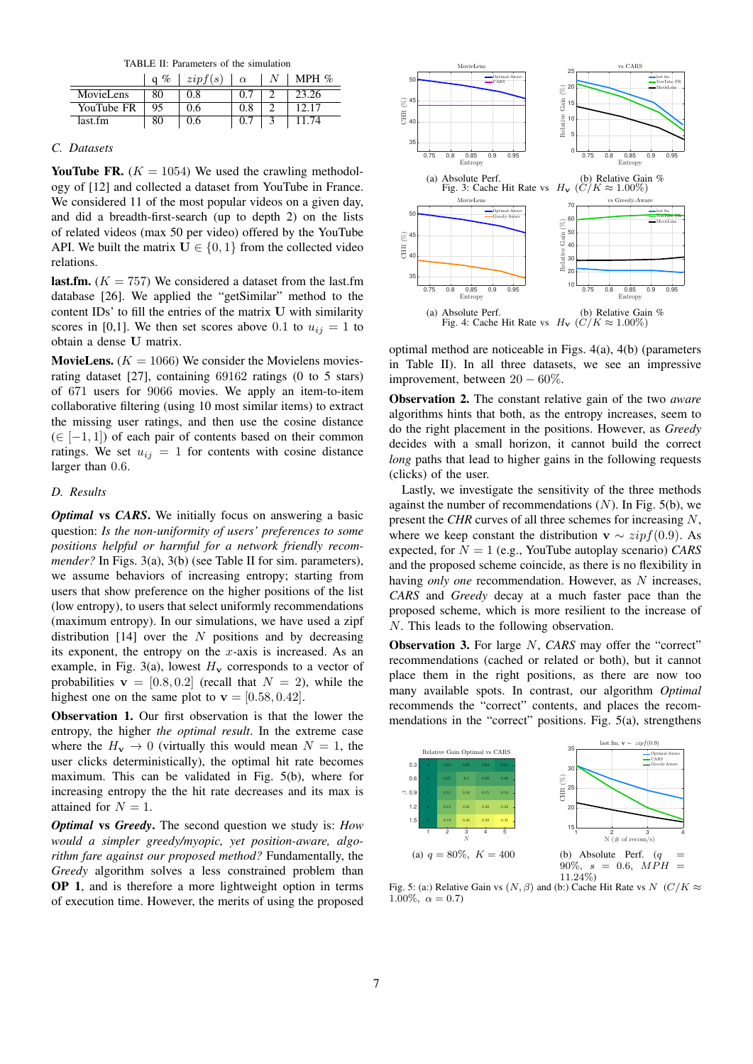TABLE II: Parameters of the simulation

|            | %<br>a | zipf(s) | $\alpha$ | MPH $%$ |
|------------|--------|---------|----------|---------|
| MovieLens  | 80     | 0.8     |          | 23.26   |
| YouTube FR | 95     | 0.6     | 0.8      |         |
| last.fm    | 80     | 0.6     |          |         |

# *C. Datasets*

YouTube FR.  $(K = 1054)$  We used the crawling methodology of [12] and collected a dataset from YouTube in France. We considered 11 of the most popular videos on a given day, and did a breadth-first-search (up to depth 2) on the lists of related videos (max 50 per video) offered by the YouTube API. We built the matrix  $U \in \{0, 1\}$  from the collected video relations.

**last.fm.** ( $K = 757$ ) We considered a dataset from the last.fm database [26]. We applied the "getSimilar" method to the content IDs' to fill the entries of the matrix U with similarity scores in [0,1]. We then set scores above 0.1 to  $u_{ij} = 1$  to obtain a dense U matrix.

**MovieLens.** ( $K = 1066$ ) We consider the Movielens moviesrating dataset [27], containing 69162 ratings (0 to 5 stars) of 671 users for 9066 movies. We apply an item-to-item collaborative filtering (using 10 most similar items) to extract the missing user ratings, and then use the cosine distance  $(\in [-1, 1])$  of each pair of contents based on their common ratings. We set  $u_{ij} = 1$  for contents with cosine distance larger than 0.6.

# *D. Results*

*Optimal* vs *CARS*. We initially focus on answering a basic question: *Is the non-uniformity of users' preferences to some positions helpful or harmful for a network friendly recommender?* In Figs. 3(a), 3(b) (see Table II for sim. parameters), we assume behaviors of increasing entropy; starting from users that show preference on the higher positions of the list (low entropy), to users that select uniformly recommendations (maximum entropy). In our simulations, we have used a zipf distribution [14] over the  $N$  positions and by decreasing its exponent, the entropy on the  $x$ -axis is increased. As an example, in Fig. 3(a), lowest  $H_v$  corresponds to a vector of probabilities  $v = [0.8, 0.2]$  (recall that  $N = 2$ ), while the highest one on the same plot to  $\mathbf{v} = [0.58, 0.42]$ .

Observation 1. Our first observation is that the lower the entropy, the higher *the optimal result*. In the extreme case where the  $H_v \to 0$  (virtually this would mean  $N = 1$ , the user clicks deterministically), the optimal hit rate becomes maximum. This can be validated in Fig. 5(b), where for increasing entropy the the hit rate decreases and its max is attained for  $N = 1$ .

*Optimal* vs *Greedy*. The second question we study is: *How would a simpler greedy/myopic, yet position-aware, algorithm fare against our proposed method?* Fundamentally, the *Greedy* algorithm solves a less constrained problem than OP 1, and is therefore a more lightweight option in terms of execution time. However, the merits of using the proposed



optimal method are noticeable in Figs. 4(a), 4(b) (parameters in Table II). In all three datasets, we see an impressive improvement, between  $20 - 60\%$ .

Observation 2. The constant relative gain of the two *aware* algorithms hints that both, as the entropy increases, seem to do the right placement in the positions. However, as *Greedy* decides with a small horizon, it cannot build the correct *long* paths that lead to higher gains in the following requests (clicks) of the user.

Lastly, we investigate the sensitivity of the three methods against the number of recommendations  $(N)$ . In Fig. 5(b), we present the *CHR* curves of all three schemes for increasing N, where we keep constant the distribution  $\mathbf{v} \sim zipf(0.9)$ . As expected, for  $N = 1$  (e.g., YouTube autoplay scenario) *CARS* and the proposed scheme coincide, as there is no flexibility in having *only one* recommendation. However, as N increases, *CARS* and *Greedy* decay at a much faster pace than the proposed scheme, which is more resilient to the increase of N. This leads to the following observation.

**Observation 3.** For large N, *CARS* may offer the "correct" recommendations (cached or related or both), but it cannot place them in the right positions, as there are now too many available spots. In contrast, our algorithm *Optimal* recommends the "correct" contents, and places the recommendations in the "correct" positions. Fig. 5(a), strengthens



Fig. 5: (a:) Relative Gain vs  $(N, \beta)$  and (b:) Cache Hit Rate vs  $N$  (C/K  $\approx$ 1.00%,  $\alpha = 0.7$ )